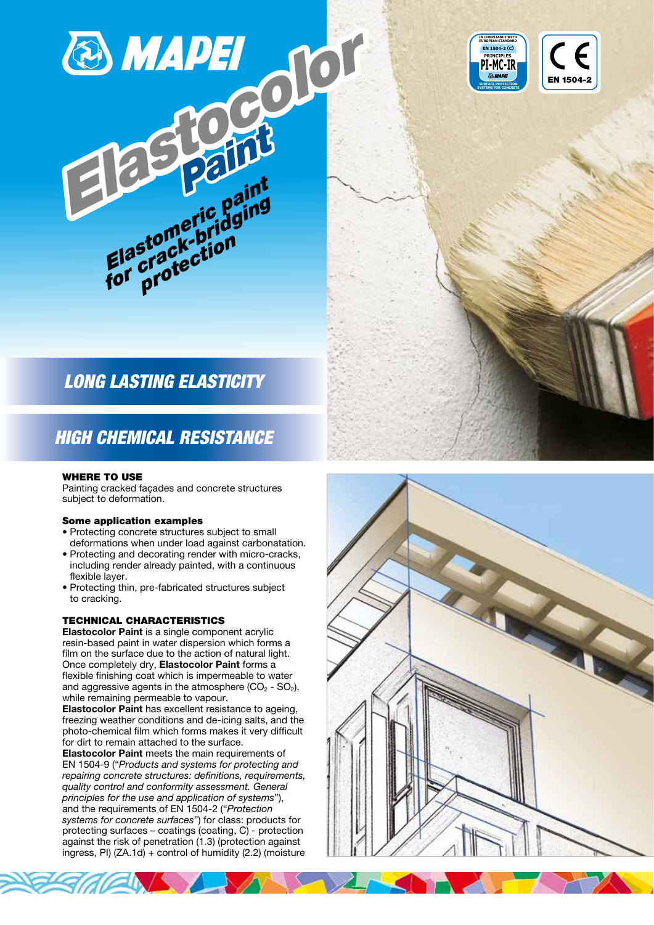



# HIGH CHEMICAL RESISTANCE

#### WHERE TO USE

Painting cracked façades and concrete structures subject to deformation.

#### Some application examples

- Protecting concrete structures subject to small deformations when under load against carbonatation.
- Protecting and decorating render with micro-cracks, including render already painted, with a continuous flexible layer.
- Protecting thin, pre-fabricated structures subject to cracking.

## TECHNICAL CHARACTERISTICS

Elastocolor Paint is a single component acrylic resin-based paint in water dispersion which forms a film on the surface due to the action of natural light. Once completely dry, Elastocolor Paint forms a flexible finishing coat which is impermeable to water and aggressive agents in the atmosphere  $(CO<sub>2</sub> - SO<sub>2</sub>)$ , while remaining permeable to vapour.

Elastocolor Paint has excellent resistance to ageing, freezing weather conditions and de-icing salts, and the photo-chemical film which forms makes it very difficult for dirt to remain attached to the surface.

Elastocolor Paint meets the main requirements of EN 1504-9 ("Products and systems for protecting and repairing concrete structures: definitions, requirements, quality control and conformity assessment. General principles for the use and application of systems"), and the requirements of EN 1504-2 ("Protection systems for concrete surfaces") for class: products for protecting surfaces – coatings (coating, C) - protection against the risk of penetration (1.3) (protection against ingress, PI) (ZA.1d) + control of humidity (2.2) (moisture





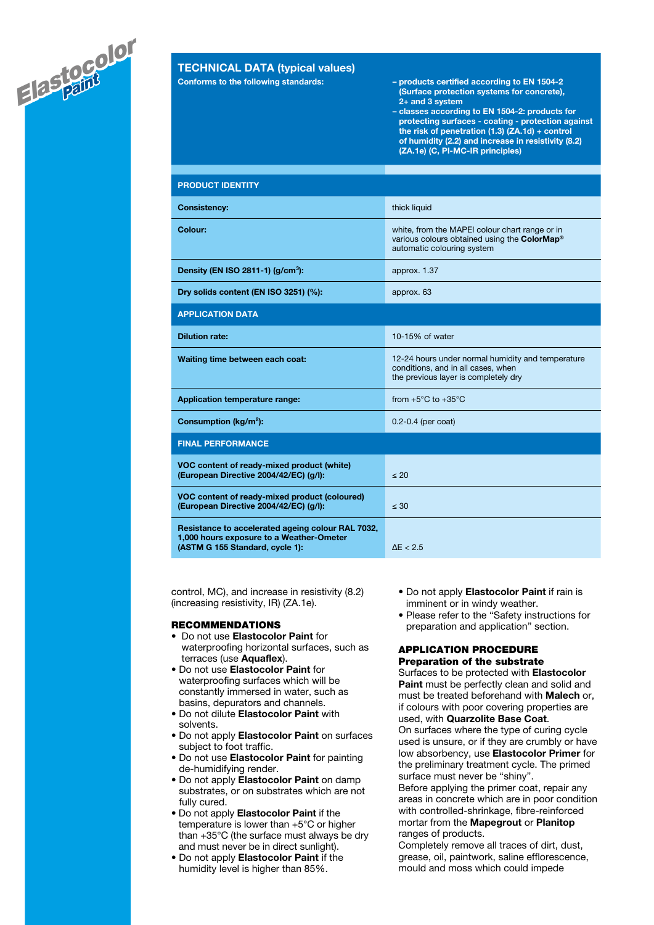

# TECHNICAL DATA (typical values)

- Conforms to the following standards: products certified according to EN 1504-2 (Surface protection systems for concrete), 2+ and 3 system
	- classes according to EN 1504-2: products for protecting surfaces - coating - protection against the risk of penetration (1.3) (ZA.1d) + control of humidity (2.2) and increase in resistivity (8.2) (ZA.1e) (C, PI-MC-IR principles)

| <b>PRODUCT IDENTITY</b>                                                                                                          |                                                                                                                                 |  |  |  |
|----------------------------------------------------------------------------------------------------------------------------------|---------------------------------------------------------------------------------------------------------------------------------|--|--|--|
| <b>Consistency:</b>                                                                                                              | thick liquid                                                                                                                    |  |  |  |
| Colour:                                                                                                                          | white, from the MAPEI colour chart range or in<br>various colours obtained using the ColorMap®<br>automatic colouring system    |  |  |  |
| Density (EN ISO 2811-1) (g/cm <sup>3</sup> ):                                                                                    | approx. 1.37                                                                                                                    |  |  |  |
| Dry solids content (EN ISO 3251) (%):                                                                                            | approx. 63                                                                                                                      |  |  |  |
| <b>APPLICATION DATA</b>                                                                                                          |                                                                                                                                 |  |  |  |
| <b>Dilution rate:</b>                                                                                                            | 10-15% of water                                                                                                                 |  |  |  |
| Waiting time between each coat:                                                                                                  | 12-24 hours under normal humidity and temperature<br>conditions, and in all cases, when<br>the previous layer is completely dry |  |  |  |
| Application temperature range:                                                                                                   | from $+5^{\circ}$ C to $+35^{\circ}$ C                                                                                          |  |  |  |
| Consumption (kg/m <sup>2</sup> ):                                                                                                | $0.2 - 0.4$ (per coat)                                                                                                          |  |  |  |
| <b>FINAL PERFORMANCE</b>                                                                                                         |                                                                                                                                 |  |  |  |
| VOC content of ready-mixed product (white)<br>(European Directive 2004/42/EC) (g/l):                                             | $\leq 20$                                                                                                                       |  |  |  |
| VOC content of ready-mixed product (coloured)<br>(European Directive 2004/42/EC) (g/l):                                          | $\leq 30$                                                                                                                       |  |  |  |
| Resistance to accelerated ageing colour RAL 7032,<br>1,000 hours exposure to a Weather-Ometer<br>(ASTM G 155 Standard, cycle 1): | $\Delta E < 2.5$                                                                                                                |  |  |  |

control, MC), and increase in resistivity (8.2) (increasing resistivity, IR) (ZA.1e).

#### RECOMMENDATIONS

- Do not use Elastocolor Paint for waterproofing horizontal surfaces, such as terraces (use Aquaflex).
- Do not use Elastocolor Paint for waterproofing surfaces which will be constantly immersed in water, such as basins, depurators and channels.
- Do not dilute Elastocolor Paint with solvents.
- Do not apply Elastocolor Paint on surfaces subject to foot traffic.
- Do not use Elastocolor Paint for painting de-humidifying render.
- Do not apply **Elastocolor Paint** on damp substrates, or on substrates which are not fully cured.
- Do not apply Elastocolor Paint if the temperature is lower than +5°C or higher than +35°C (the surface must always be dry and must never be in direct sunlight).
- Do not apply Elastocolor Paint if the humidity level is higher than 85%.
- Do not apply Elastocolor Paint if rain is imminent or in windy weather.
- Please refer to the "Safety instructions for preparation and application" section.

#### APPLICATION PROCEDURE Preparation of the substrate

Surfaces to be protected with Elastocolor Paint must be perfectly clean and solid and must be treated beforehand with **Malech** or, if colours with poor covering properties are used, with Quarzolite Base Coat. On surfaces where the type of curing cycle used is unsure, or if they are crumbly or have low absorbency, use Elastocolor Primer for the preliminary treatment cycle. The primed surface must never be "shiny".

Before applying the primer coat, repair any areas in concrete which are in poor condition with controlled-shrinkage, fibre-reinforced mortar from the Mapegrout or Planitop ranges of products.

Completely remove all traces of dirt, dust, grease, oil, paintwork, saline efflorescence, mould and moss which could impede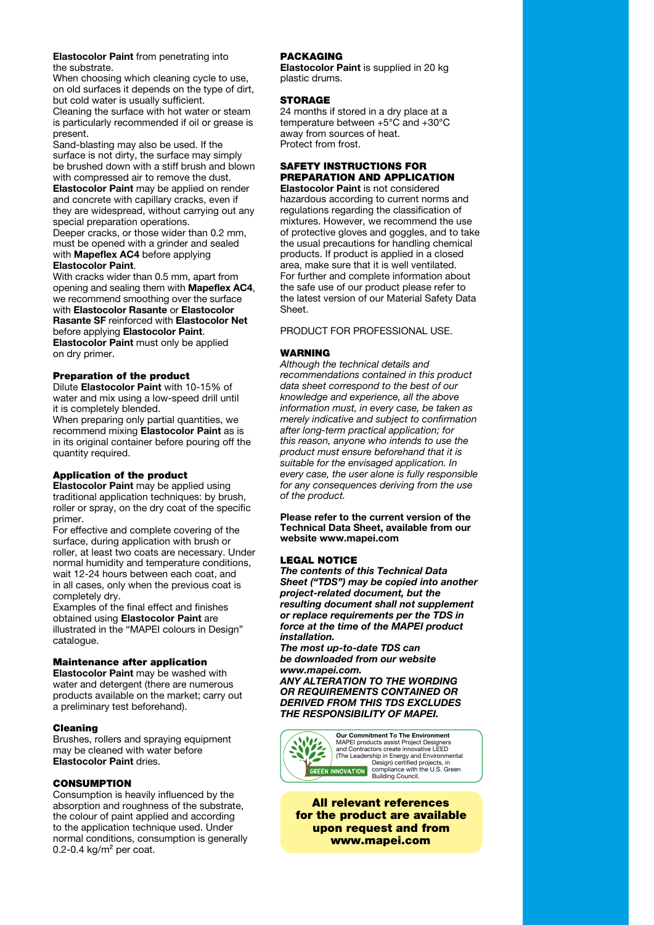#### Elastocolor Paint from penetrating into the substrate.

When choosing which cleaning cycle to use, on old surfaces it depends on the type of dirt, but cold water is usually sufficient.

Cleaning the surface with hot water or steam is particularly recommended if oil or grease is present.

Sand-blasting may also be used. If the surface is not dirty, the surface may simply be brushed down with a stiff brush and blown with compressed air to remove the dust. Elastocolor Paint may be applied on render and concrete with capillary cracks, even if

they are widespread, without carrying out any special preparation operations. Deeper cracks, or those wider than 0.2 mm, must be opened with a grinder and sealed

#### with **Mapeflex AC4** before applying Elastocolor Paint.

With cracks wider than 0.5 mm, apart from opening and sealing them with Mapeflex AC4, we recommend smoothing over the surface with Elastocolor Rasante or Elastocolor Rasante SF reinforced with Elastocolor Net before applying Elastocolor Paint. Elastocolor Paint must only be applied on dry primer.

## Preparation of the product

Dilute Elastocolor Paint with 10-15% of water and mix using a low-speed drill until it is completely blended.

When preparing only partial quantities, we recommend mixing Elastocolor Paint as is in its original container before pouring off the quantity required.

## Application of the product

Elastocolor Paint may be applied using traditional application techniques: by brush, roller or spray, on the dry coat of the specific primer.

For effective and complete covering of the surface, during application with brush or roller, at least two coats are necessary. Under normal humidity and temperature conditions, wait 12-24 hours between each coat, and in all cases, only when the previous coat is completely dry.

Examples of the final effect and finishes obtained using Elastocolor Paint are illustrated in the "MAPEI colours in Design" catalogue.

## Maintenance after application

Elastocolor Paint may be washed with water and detergent (there are numerous products available on the market; carry out a preliminary test beforehand).

## Cleaning

Brushes, rollers and spraying equipment may be cleaned with water before Elastocolor Paint dries.

## CONSUMPTION

Consumption is heavily influenced by the absorption and roughness of the substrate, the colour of paint applied and according to the application technique used. Under normal conditions, consumption is generally 0.2-0.4 kg/ $m<sup>2</sup>$  per coat.

## PACKAGING

Elastocolor Paint is supplied in 20 kg plastic drums.

#### **STORAGE**

24 months if stored in a dry place at a temperature between +5°C and +30°C away from sources of heat. Protect from frost.

# SAFETY INSTRUCTIONS FOR PREPARATION AND APPLICATION

Elastocolor Paint is not considered hazardous according to current norms and regulations regarding the classification of mixtures. However, we recommend the use of protective gloves and goggles, and to take the usual precautions for handling chemical products. If product is applied in a closed area, make sure that it is well ventilated. For further and complete information about the safe use of our product please refer to the latest version of our Material Safety Data Sheet.

# PRODUCT FOR PROFESSIONAL USE.

# WARNING

Although the technical details and recommendations contained in this product data sheet correspond to the best of our knowledge and experience, all the above information must, in every case, be taken as merely indicative and subject to confirmation after long-term practical application; for this reason, anyone who intends to use the product must ensure beforehand that it is suitable for the envisaged application. In every case, the user alone is fully responsible for any consequences deriving from the use of the product.

Please refer to the current version of the Technical Data Sheet, available from our website www.mapei.com

## LEGAL NOTICE

The contents of this Technical Data Sheet ("TDS") may be copied into another project-related document, but the resulting document shall not supplement or replace requirements per the TDS in force at the time of the MAPEI product installation.

The most up-to-date TDS can be downloaded from our website www.mapei.com. ANY ALTERATION TO THE WORDING OR REQUIREMENTS CONTAINED OR DERIVED FROM THIS TDS EXCLUDES THE RESPONSIBILITY OF MAPEI.



All relevant references for the product are available upon request and from www.mapei.com